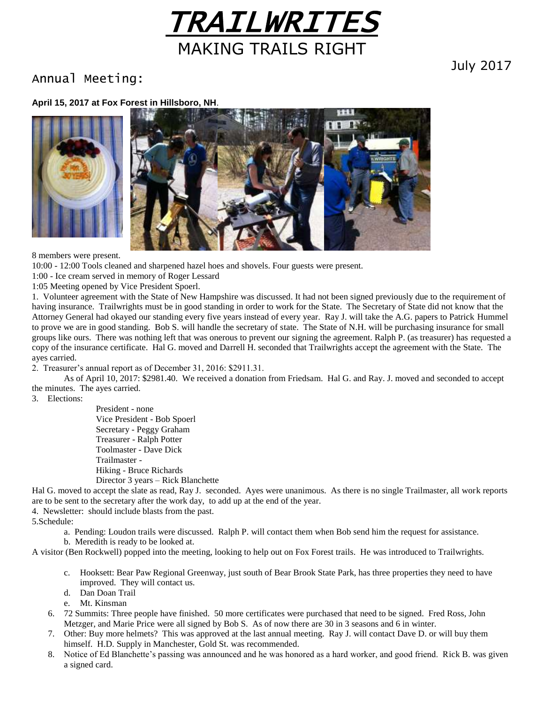

## Annual Meeting:

July 2017

#### **April 15, 2017 at Fox Forest in Hillsboro, NH**.





8 members were present.

10:00 - 12:00 Tools cleaned and sharpened hazel hoes and shovels. Four guests were present.

1:00 - Ice cream served in memory of Roger Lessard

1:05 Meeting opened by Vice President Spoerl.

1. Volunteer agreement with the State of New Hampshire was discussed. It had not been signed previously due to the requirement of having insurance. Trailwrights must be in good standing in order to work for the State. The Secretary of State did not know that the Attorney General had okayed our standing every five years instead of every year. Ray J. will take the A.G. papers to Patrick Hummel to prove we are in good standing. Bob S. will handle the secretary of state. The State of N.H. will be purchasing insurance for small groups like ours. There was nothing left that was onerous to prevent our signing the agreement. Ralph P. (as treasurer) has requested a copy of the insurance certificate. Hal G. moved and Darrell H. seconded that Trailwrights accept the agreement with the State. The ayes carried.

2. Treasurer's annual report as of December 31, 2016: \$2911.31.

As of April 10, 2017: \$2981.40. We received a donation from Friedsam. Hal G. and Ray. J. moved and seconded to accept the minutes. The ayes carried.

3. Elections:

President - none Vice President - Bob Spoerl Secretary - Peggy Graham Treasurer - Ralph Potter Toolmaster - Dave Dick Trailmaster - Hiking - Bruce Richards Director 3 years – Rick Blanchette

Hal G. moved to accept the slate as read, Ray J. seconded. Ayes were unanimous. As there is no single Trailmaster, all work reports are to be sent to the secretary after the work day, to add up at the end of the year.

4. Newsletter: should include blasts from the past.

5.Schedule:

a. Pending: Loudon trails were discussed. Ralph P. will contact them when Bob send him the request for assistance. b. Meredith is ready to be looked at.

A visitor (Ben Rockwell) popped into the meeting, looking to help out on Fox Forest trails. He was introduced to Trailwrights.

- c. Hooksett: Bear Paw Regional Greenway, just south of Bear Brook State Park, has three properties they need to have improved. They will contact us.
- d. Dan Doan Trail
- e. Mt. Kinsman
- 6. 72 Summits: Three people have finished. 50 more certificates were purchased that need to be signed. Fred Ross, John Metzger, and Marie Price were all signed by Bob S. As of now there are 30 in 3 seasons and 6 in winter.
- 7. Other: Buy more helmets? This was approved at the last annual meeting. Ray J. will contact Dave D. or will buy them himself. H.D. Supply in Manchester, Gold St. was recommended.
- 8. Notice of Ed Blanchette's passing was announced and he was honored as a hard worker, and good friend. Rick B. was given a signed card.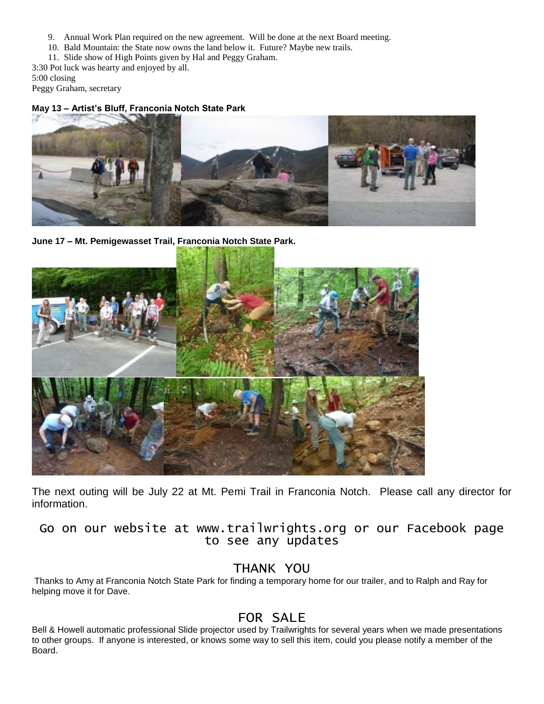- 9. Annual Work Plan required on the new agreement. Will be done at the next Board meeting.
- 10. Bald Mountain: the State now owns the land below it. Future? Maybe new trails.
- 11. Slide show of High Points given by Hal and Peggy Graham.
- 3:30 Pot luck was hearty and enjoyed by all.

5:00 closing

Peggy Graham, secretary

#### **May 13 – Artist's Bluff, Franconia Notch State Park**



**June 17 – Mt. Pemigewasset Trail, Franconia Notch State Park.**



The next outing will be July 22 at Mt. Pemi Trail in Franconia Notch. Please call any director for information.

Go on our website at www.trailwrights.org or our Facebook page to see any updates

### THANK YOU

Thanks to Amy at Franconia Notch State Park for finding a temporary home for our trailer, and to Ralph and Ray for helping move it for Dave.

## FOR SALE

Bell & Howell automatic professional Slide projector used by Trailwrights for several years when we made presentations to other groups. If anyone is interested, or knows some way to sell this item, could you please notify a member of the Board.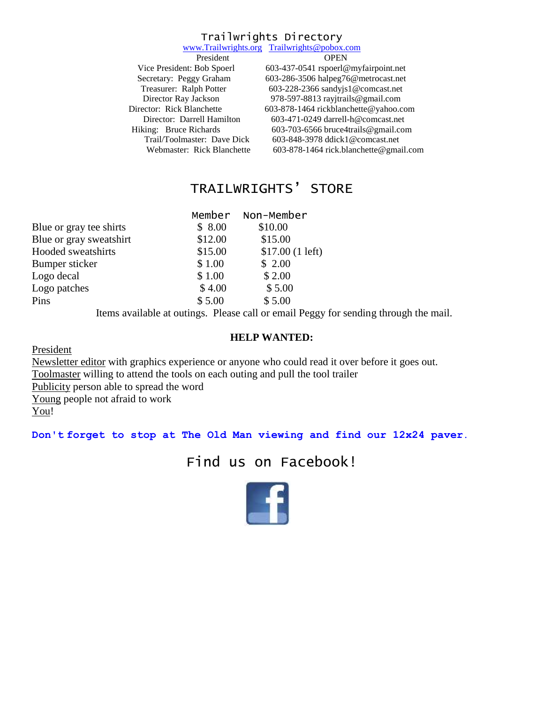### Trailwrights Directory

|                             | www.Trailwrights.org Trailwrights@pobox.com |
|-----------------------------|---------------------------------------------|
| President                   | <b>OPEN</b>                                 |
| Vice President: Bob Spoerl  | 603-437-0541 rspoerl@myfairpoint.net        |
| Secretary: Peggy Graham     | 603-286-3506 halpeg76@metrocast.net         |
| Treasurer: Ralph Potter     | 603-228-2366 sandyjs1@comcast.net           |
| Director Ray Jackson        | 978-597-8813 rayjtrails@gmail.com           |
| Director: Rick Blanchette   | 603-878-1464 rickblanchette@yahoo.com       |
| Director: Darrell Hamilton  | $603-471-0249$ darrell-h@comcast.net        |
| Hiking: Bruce Richards      | 603-703-6566 bruce4trails@gmail.com         |
| Trail/Toolmaster: Dave Dick | 603-848-3978 ddick1@comcast.net             |
| Webmaster: Rick Blanchette  | 603-878-1464 rick.blanchette@gmail.com      |
|                             |                                             |

# TRAILWRIGHTS' STORE

|         | Member Non-Member |
|---------|-------------------|
| \$8.00  | \$10.00           |
| \$12.00 | \$15.00           |
| \$15.00 | \$17.00(1 left)   |
| \$1.00  | \$2.00            |
| \$1.00  | \$2.00            |
| \$4.00  | \$5.00            |
| \$5.00  | \$5.00            |
|         |                   |

Items available at outings. Please call or email Peggy for sending through the mail.

#### **HELP WANTED:**

President

Newsletter editor with graphics experience or anyone who could read it over before it goes out. Toolmaster willing to attend the tools on each outing and pull the tool trailer Publicity person able to spread the word Young people not afraid to work You!

**Don't forget to stop at The Old Man viewing and find our 12x24 paver.**

# Find us on Facebook!